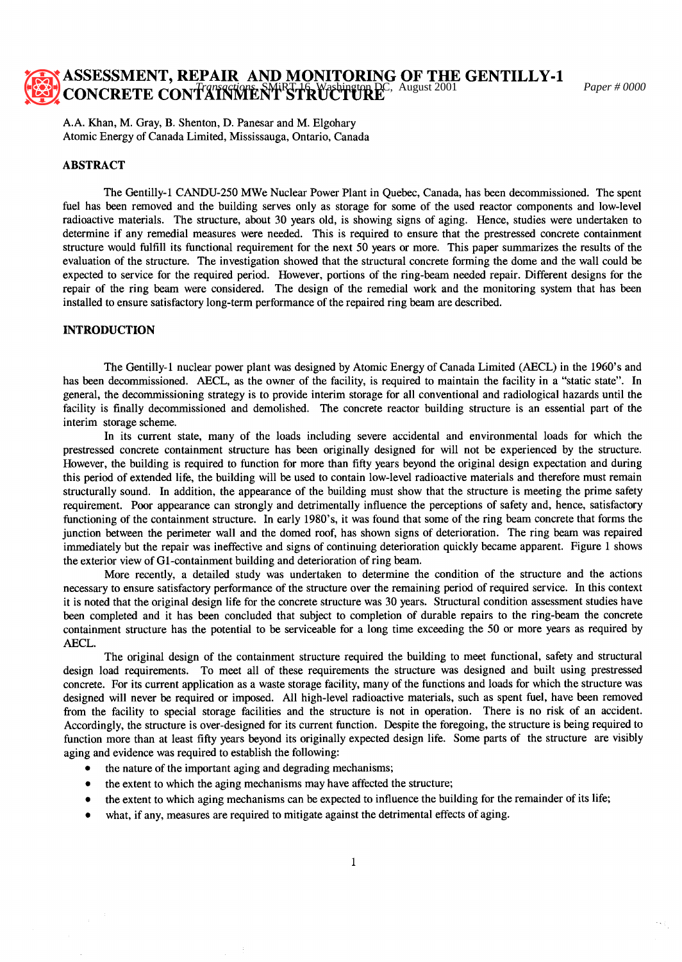# **ASSESSMENT, REPAIR AND MONITORING OF THE GENTILLY-1 CONCRETE CONTAINMENT STRUCTURE**<sup>C, August 2001 *Paper # 0000*</sup>

A.A. Khan, M. Gray, B. Shenton, D. Panesar and M. Elgohary Atomic Energy of Canada Limited, Mississauga, Ontario, Canada

## **ABSTRACT**

The Gentilly-1 CANDU-250 MWe Nuclear Power Plant in Quebec, Canada, has been decommissioned. The spent fuel has been removed and the building serves only as storage for some of the used reactor components and low-level radioactive materials. The structure, about 30 years old, is showing signs of aging. Hence, studies were undertaken to determine if any remedial measures were needed. This is required to ensure that the prestressed concrete containment structure would fulfill its functional requirement for the next 50 years or more. This paper summarizes the results of the evaluation of the structure. The investigation showed that the structural concrete forming the dome and the wall could be expected to service for the required period. However, portions of the ring-beam needed repair. Different designs for the repair of the ring beam were considered. The design of the remedial work and the monitoring system that has been installed to ensure satisfactory long-term performance of the repaired ring beam are described.

# **INTRODUCTION**

The Gentilly-1 nuclear power plant was designed by Atomic Energy of Canada Limited (AECL) in the 1960's and has been decommissioned. AECL, as the owner of the facility, is required to maintain the facility in a "static state". In general, the decommissioning strategy is to provide interim storage for all conventional and radiological hazards until the facility is finally decommissioned and demolished. The concrete reactor building structure is an essential part of the interim storage scheme.

In its current state, many of the loads including severe accidental and environmental loads for which the prestressed concrete containment structure has been originally designed for will not be experienced by the structure. However, the building is required to function for more than fifty years beyond the original design expectation and during this period of extended life, the building will be used to contain low-level radioactive materials and therefore must remain structurally sound. In addition, the appearance of the building must show that the structure is meeting the prime safety requirement. Poor appearance can strongly and detrimentally influence the perceptions of safety and, hence, satisfactory functioning of the containment structure. In early 1980's, it was found that some of the ring beam concrete that forms the junction between the perimeter wall and the domed roof, has shown signs of deterioration. The ring beam was repaired immediately but the repair was ineffective and signs of continuing deterioration quickly became apparent. Figure 1 shows the exterior view of G1-containment building and deterioration of ring beam.

More recently, a detailed study was undertaken to determine the condition of the structure and the actions necessary to ensure satisfactory performance of the structure over the remaining period of required service. In this context it is noted that the original design life for the concrete structure was 30 years. Structural condition assessment studies have been completed and it has been concluded that subject to completion of durable repairs to the ring-beam the concrete containment structure has the potential to be serviceable for a long time exceeding the 50 or more years as required by AECL.

The original design of the containment structure required the building to meet functional, safety and structural design load requirements. To meet all of these requirements the structure was designed and built using prestressed concrete. For its current application as a waste storage facility, many of the functions and loads for which the structure was designed will never be required or imposed. All high-level radioactive materials, such as spent fuel, have been removed from the facility to special storage facilities and the structure is not in operation. There is no risk of an accident. Accordingly, the structure is over-designed for its current function. Despite the foregoing, the structure is being required to function more than at least fifty years beyond its originally expected design life. Some parts of the structure are visibly aging and evidence was required to establish the following:

- the nature of the important aging and degrading mechanisms;
- the extent to which the aging mechanisms may have affected the structure;
- the extent to which aging mechanisms can be expected to influence the building for the remainder of its life;
- what, if any, measures are required to mitigate against the detrimental effects of aging.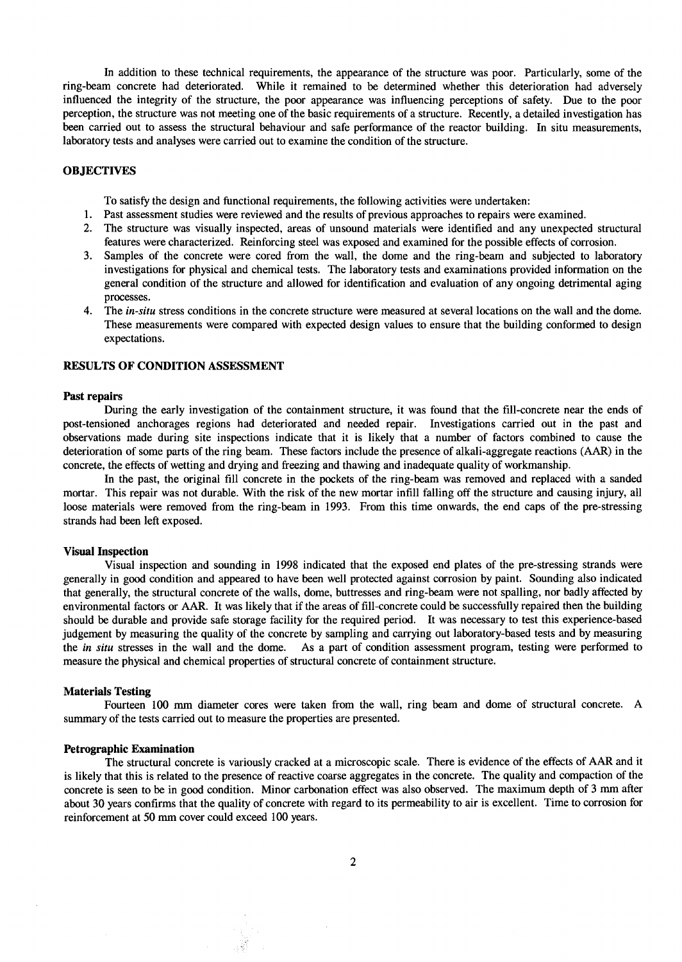In addition to these technical requirements, the appearance of the structure was poor. Particularly, some of the ring-beam concrete had deteriorated. While it remained to be determined whether this deterioration had adversely influenced the integrity of the structure, the poor appearance was influencing perceptions of safety. Due to the poor perception, the structure was not meeting one of the basic requirements of a structure. Recently, a detailed investigation has been carried out to assess the structural behaviour and safe performance of the reactor building. In situ measurements, laboratory tests and analyses were carried out to examine the condition of the structure.

## **OBJECTIVES**

To satisfy the design and functional requirements, the following activities were undertaken:

- 1. Past assessment studies were reviewed and the results of previous approaches to repairs were examined.
- 2. The structure was visually inspected, areas of unsound materials were identified and any unexpected structural features were characterized. Reinforcing steel was exposed and examined for the possible effects of corrosion.
- 3. Samples of the concrete were cored from the wall, the dome and the ring-beam and subjected to laboratory investigations for physical and chemical tests. The laboratory tests and examinations provided information on the general condition of the structure and allowed for identification and evaluation of any ongoing detrimental aging processes.
- 4. The *in-situ* stress conditions in the concrete structure were measured at several locations on the wall and the dome. These measurements were compared with expected design values to ensure that the building conformed to design expectations.

## RESULTS OF CONDITION ASSESSMENT

#### **Past repairs**

During the early investigation of the containment structure, it was found that the fill-concrete near the ends of post-tensioned anchorages regions had deteriorated and needed repair. Investigations carried out in the past and observations made during site inspections indicate that it is likely that a number of factors combined to cause the deterioration of some parts of the ring beam. These factors include the presence of alkali-aggregate reactions (AAR) in the concrete, the effects of wetting and drying and freezing and thawing and inadequate quality of workmanship.

In the past, the original fill concrete in the pockets of the ring-beam was removed and replaced with a sanded mortar. This repair was not durable. With the risk of the new mortar infill falling off the structure and causing injury, all loose materials were removed from the ring-beam in 1993. From this time onwards, the end caps of the pre-stressing strands had been left exposed.

#### **Visual Inspection**

Visual inspection and sounding in 1998 indicated that the exposed end plates of the pre-stressing strands were generally in good condition and appeared to have been well protected against corrosion by paint. Sounding also indicated that generally, the structural concrete of the walls, dome, buttresses and ring-beam were not spalling, nor badly affected by environmental factors or AAR. It was likely that if the areas of fill-concrete could be successfully repaired then the building should be durable and provide safe storage facility for the required period. It was necessary to test this experience-based judgement by measuring the quality of the concrete by sampling and carrying out laboratory-based tests and by measuring the *in situ* stresses in the wall and the dome. As a part of condition assessment program, testing were performed to measure the physical and chemical properties of structural concrete of containment structure.

#### **Materials Testing**

Fourteen 100 mm diameter cores were taken from the wall, ring beam and dome of structural concrete. A summary of the tests carried out to measure the properties are presented.

#### **Petrographic Examination**

The structural concrete is variously cracked at a microscopic scale. There is evidence of the effects of AAR and it is likely that this is related to the presence of reactive coarse aggregates in the concrete. The quality and compaction of the concrete is seen to be in good condition. Minor carbonation effect was also observed. The maximum depth of 3 mm after about 30 years confirms that the quality of concrete with regard to its permeability to air is excellent. Time to corrosion for reinforcement at 50 mm cover could exceed 100 years.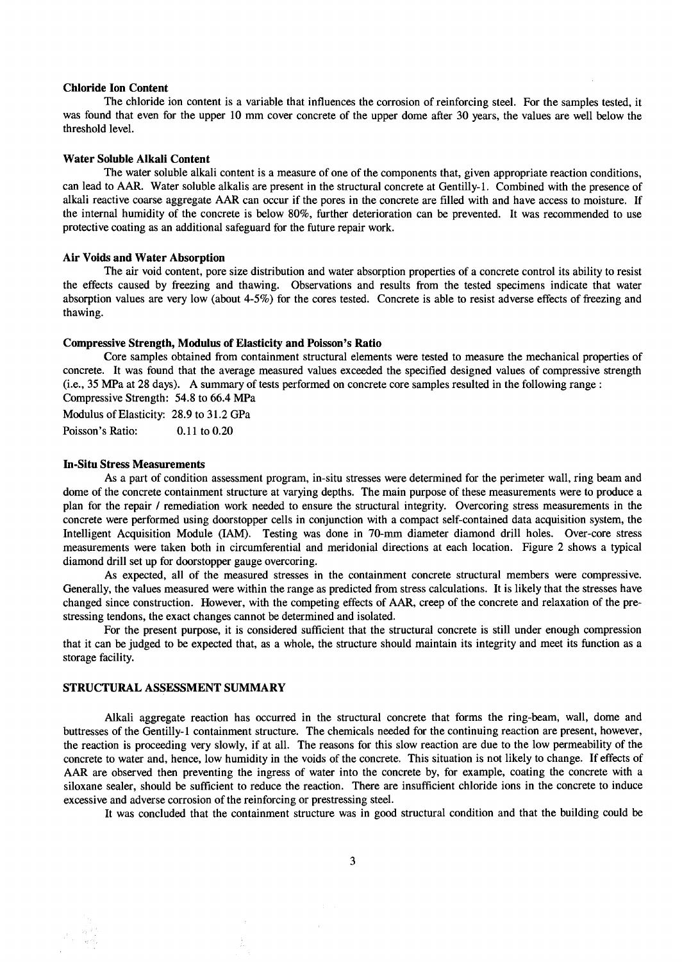## **Chloride Ion Content**

The chloride ion content is a variable that influences the corrosion of reinforcing steel. For the samples tested, it was found that even for the upper 10 mm cover concrete of the upper dome after 30 years, the values are well below the threshold level.

#### **Water Soluble Alkali Content**

The water soluble alkali content is a measure of one of the components that, given appropriate reaction conditions, can lead to AAR. Water soluble alkalis are present in the structural concrete at Gentilly-1. Combined with the presence of alkali reactive coarse aggregate AAR can occur if the pores in the concrete are filled with and have access to moisture. If the internal humidity of the concrete is below 80%, further deterioration can be prevented. It was recommended to use protective coating as an additional safeguard for the future repair work.

#### **Air Voids and Water Absorption**

The air void content, pore size distribution and water absorption properties of a concrete control its ability to resist the effects caused by freezing and thawing. Observations and results from the tested specimens indicate that water absorption values are very low (about 4-5%) for the cores tested. Concrete is able to resist adverse effects of freezing and thawing.

#### **Compressive Strength, Modulus of Elasticity and Poisson's Ratio**

Core samples obtained from containment structural elements were tested to measure the mechanical properties of concrete. It was found that the average measured values exceeded the specified designed values of compressive strength (i.e., 35 MPa at 28 days). A summary of tests performed on concrete core samples resulted in the following range : Compressive Strength: 54.8 to 66.4 MPa

Modulus of Elasticity: 28.9 to 31.2 GPa

Poisson's Ratio: 0.11 to 0.20

#### **In-Situ Stress Measurements**

As a part of condition assessment program, in-situ stresses were determined for the perimeter wall, ring beam and dome of the concrete containment structure at varying depths. The main purpose of these measurements were to produce a plan for the repair / remediation work needed to ensure the structural integrity. Overcoring stress measurements in the concrete were performed using doorstopper cells in conjunction with a compact self-contained data acquisition system, the Intelligent Acquisition Module (IAM). Testing was done in 70-mm diameter diamond drill holes. Over-core stress measurements were taken both in circumferential and meridonial directions at each location. Figure 2 shows a typical diamond drill set up for doorstopper gauge overcoring.

As expected, all of the measured stresses in the containment concrete structural members were compressive. Generally, the values measured were within the range as predicted from stress calculations. It is likely that the stresses have changed since construction. However, with the competing effects of AAR, creep of the concrete and relaxation of the prestressing tendons, the exact changes cannot be determined and isolated.

For the present purpose, it is considered sufficient that the structural concrete is still under enough compression that it can be judged to be expected that, as a whole, the structure should maintain its integrity and meet its function as a storage facility.

## STRUCTURAL ASSESSMENT SUMMARY

Alkali aggregate reaction has occurred in the structural concrete that forms the ring-beam, wall, dome and buttresses of the Gentilly-1 containment structure. The chemicals needed for the continuing reaction are present, however, the reaction is proceeding very slowly, if at all. The reasons for this slow reaction are due to the low permeability of the concrete to water and, hence, low humidity in the voids of the concrete. This situation is not likely to change. If effects of AAR are observed then preventing the ingress of water into the concrete by, for example, coating the concrete with a siloxane sealer, should be sufficient to reduce the reaction. There are insufficient chloride ions in the concrete to induce excessive and adverse corrosion of the reinforcing or prestressing steel.

It was concluded that the containment structure was in good structural condition and that the building could be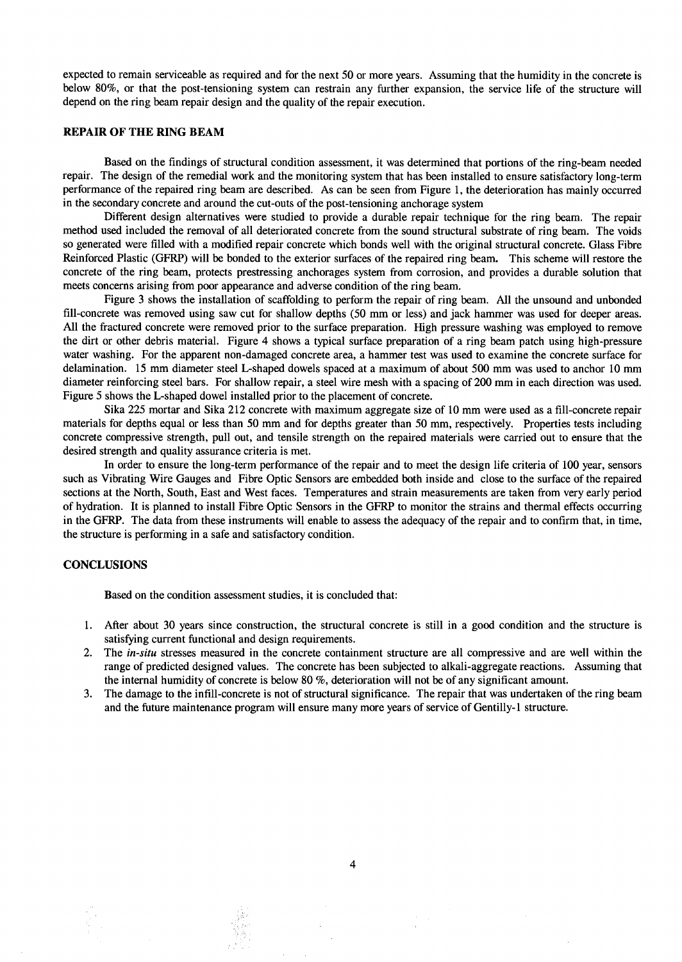expected to remain serviceable as required and for the next 50 or more years. Assuming that the humidity in the concrete is below 80%, or that the post-tensioning system can restrain any further expansion, the service life of the structure will depend on the ring beam repair design and the quality of the repair execution.

## **REPAIR OF THE RING BEAM**

Based on the findings of structural condition assessment, it was determined that portions of the ring-beam needed repair. The design of the remedial work and the monitoring system that has been installed to ensure satisfactory long-term performance of the repaired ring beam are described. As can be seen from Figure 1, the deterioration has mainly occurred in the secondary concrete and around the cut-outs of the post-tensioning anchorage system

Different design alternatives were studied to provide a durable repair technique for the ring beam. The repair method used included the removal of all deteriorated concrete from the sound structural substrate of ring beam. The voids so generated were filled with a modified repair concrete which bonds well with the original structural concrete. Glass Fibre Reinforced Plastic (GFRP) will be bonded to the exterior surfaces of the repaired ring beam. This scheme will restore the concrete of the ring beam, protects prestressing anchorages system from corrosion, and provides a durable solution that meets concerns arising from poor appearance and adverse condition of the ring beam.

Figure 3 shows the installation of scaffolding to perform the repair of ring beam. All the unsound and unbonded fill-concrete was removed using saw cut for shallow depths (50 mm or less) and jack hammer was used for deeper areas. All the fractured concrete were removed prior to the surface preparation. High pressure washing was employed to remove the dirt or other debris material. Figure 4 shows a typical surface preparation of a ring beam patch using high-pressure water washing. For the apparent non-damaged concrete area, a hammer test was used to examine the concrete surface for delamination. 15 mm diameter steel L-shaped dowels spaced at a maximum of about 500 mm was used to anchor 10 mm diameter reinforcing steel bars. For shallow repair, a steel wire mesh with a spacing of 200 mm in each direction was used. Figure 5 shows the L-shaped dowel installed prior to the placement of concrete.

Sika 225 mortar and Sika 212 concrete with maximum aggregate size of 10 mm were used as a fill-concrete repair materials for depths equal or less than 50 mm and for depths greater than 50 mm, respectively. Properties tests including concrete compressive strength, pull out, and tensile strength on the repaired materials were carried out to ensure that the desired strength and quality assurance criteria is met.

In order to ensure the long-term performance of the repair and to meet the design life criteria of 100 year, sensors such as Vibrating Wire Gauges and Fibre Optic Sensors are embedded both inside and close to the surface of the repaired sections at the North, South, East and West faces. Temperatures and strain measurements are taken from very early period of hydration. It is planned to install Fibre Optic Sensors in the GFRP to monitor the strains and thermal effects occurring in the GFRP. The data from these instruments will enable to assess the adequacy of the repair and to confirm that, in time, the structure is performing in a safe and satisfactory condition.

## **CONCLUSIONS**

Based on the condition assessment studies, it is concluded that:

 $2\times1$ 

- 1. After about 30 years since construction, the structural concrete is still in a good condition and the structure is satisfying current functional and design requirements.
- 2. The *in-situ* stresses measured in the concrete containment structure are all compressive and are well within the range of predicted designed values. The concrete has been subjected to alkali-aggregate reactions. Assuming that the internal humidity of concrete is below 80 %, deterioration will not be of any significant amount.
- 3. The damage to the infill-concrete is not of structural significance. The repair that was undertaken of the ring beam and the future maintenance program will ensure many more years of service of Gentilly-1 structure.

 $\overline{4}$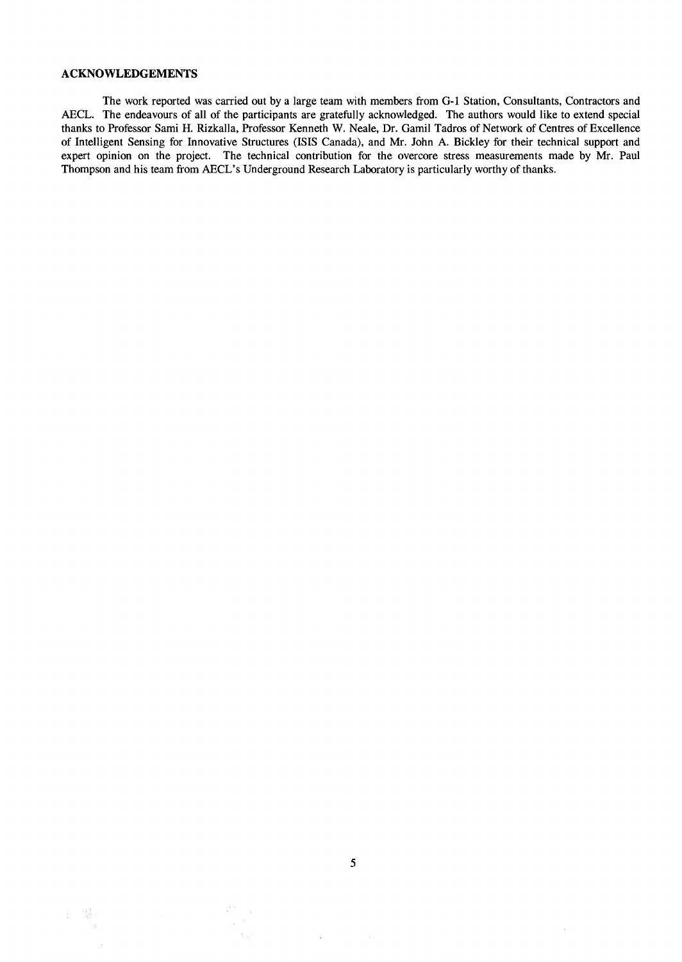## **ACKNOWLEDGEMENTS**

**The work reported was carried out by a large team with members from G-1 Station, Consultants, Contractors and AECL. The endeavours of all of the participants are gratefully acknowledged. The authors would like to extend special thanks to Professor Sami H. Rizkalla, Professor Kenneth W. Neale, Dr. Gamil Tadros of Network of Centres of Excellence of Intelligent Sensing for Innovative Structures (ISIS Canada), and Mr. John A. Bickley for their technical support and**  expert opinion on the project. The technical contribution for the overcore stress measurements made by Mr. Paul **Thompson and his team from AECL's Underground Research Laboratory is particularly worthy of thanks.** 

 $\mathcal{L}^{\mathcal{F} \times \mathcal{F}}$ 

 $\mathcal{L}=\mathcal{L}$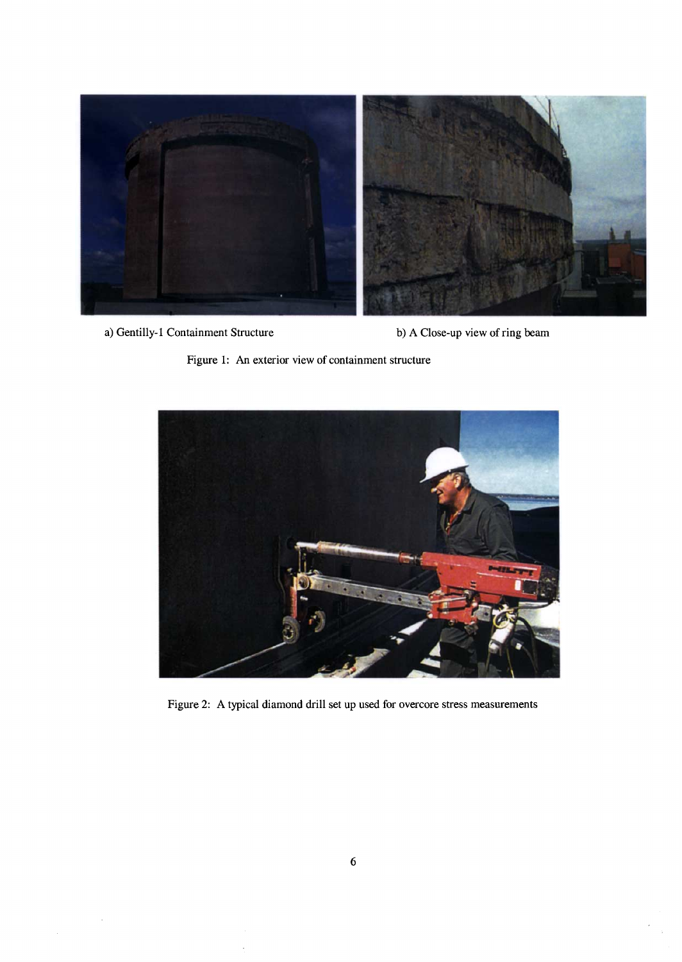

a) Gentilly-1 Containment Structure b) A Close-up view of ring beam





Figure 2: A typical diamond drill set up used for overcore stress measurements